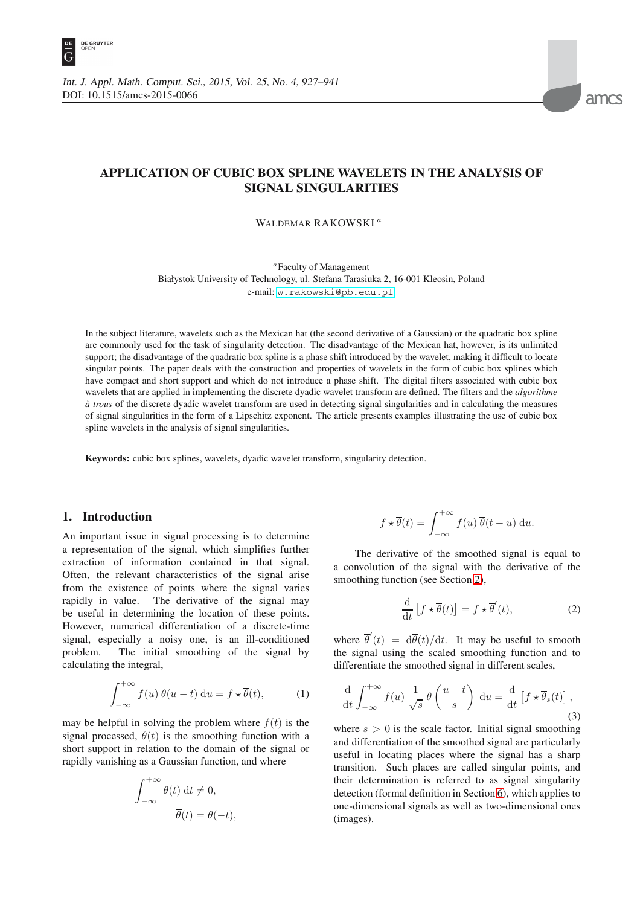



# **APPLICATION OF CUBIC BOX SPLINE WAVELETS IN THE ANALYSIS OF SIGNAL SINGULARITIES**

WALDEMAR RAKOWSKI<sup>a</sup>

<sup>a</sup>Faculty of Management Białystok University of Technology, ul. Stefana Tarasiuka 2, 16-001 Kleosin, Poland e-mail: <w.rakowski@pb.edu.pl>

In the subject literature, wavelets such as the Mexican hat (the second derivative of a Gaussian) or the quadratic box spline are commonly used for the task of singularity detection. The disadvantage of the Mexican hat, however, is its unlimited support; the disadvantage of the quadratic box spline is a phase shift introduced by the wavelet, making it difficult to locate singular points. The paper deals with the construction and properties of wavelets in the form of cubic box splines which have compact and short support and which do not introduce a phase shift. The digital filters associated with cubic box wavelets that are applied in implementing the discrete dyadic wavelet transform are defined. The filters and the *algorithme*  $\dot{a}$  *trous* of the discrete dyadic wavelet transform are used in detecting signal singularities and in calculating the measures of signal singularities in the form of a Lipschitz exponent. The article presents examples illustrating the use of cubic box spline wavelets in the analysis of signal singularities.

Keywords: cubic box splines, wavelets, dyadic wavelet transform, singularity detection.

#### **1. Introduction**

An important issue in signal processing is to determine a representation of the signal, which simplifies further extraction of information contained in that signal. Often, the relevant characteristics of the signal arise from the existence of points where the signal varies rapidly in value. The derivative of the signal may be useful in determining the location of these points. However, numerical differentiation of a discrete-time signal, especially a noisy one, is an ill-conditioned problem. The initial smoothing of the signal by calculating the integral,

$$
\int_{-\infty}^{+\infty} f(u) \,\theta(u-t) \, \mathrm{d}u = f \star \overline{\theta}(t), \tag{1}
$$

may be helpful in solving the problem where  $f(t)$  is the signal processed,  $\theta(t)$  is the smoothing function with a short support in relation to the domain of the signal or rapidly vanishing as a Gaussian function, and where

$$
\int_{-\infty}^{+\infty} \theta(t) dt \neq 0,
$$
  

$$
\overline{\theta}(t) = \theta(-t),
$$

$$
f \star \overline{\theta}(t) = \int_{-\infty}^{+\infty} f(u) \, \overline{\theta}(t-u) \, \mathrm{d}u.
$$

The derivative of the smoothed signal is equal to a convolution of the signal with the derivative of the smoothing function (see Section [2\)](#page-1-0),

$$
\frac{\mathrm{d}}{\mathrm{d}t} \left[ f \star \overline{\theta}(t) \right] = f \star \overline{\theta}'(t), \tag{2}
$$

where  $\overline{\theta}'(t) = d\overline{\theta}(t)/dt$ . It may be useful to smooth the signal using the scaled smoothing function and to differentiate the smoothed signal in different scales,

$$
\frac{\mathrm{d}}{\mathrm{d}t} \int_{-\infty}^{+\infty} f(u) \, \frac{1}{\sqrt{s}} \, \theta\left(\frac{u-t}{s}\right) \, \mathrm{d}u = \frac{\mathrm{d}}{\mathrm{d}t} \left[ f \star \overline{\theta}_s(t) \right],\tag{3}
$$

where  $s > 0$  is the scale factor. Initial signal smoothing and differentiation of the smoothed signal are particularly useful in locating places where the signal has a sharp transition. Such places are called singular points, and their determination is referred to as signal singularity detection (formal definition in Section [6\)](#page-10-0), which applies to one-dimensional signals as well as two-dimensional ones (images).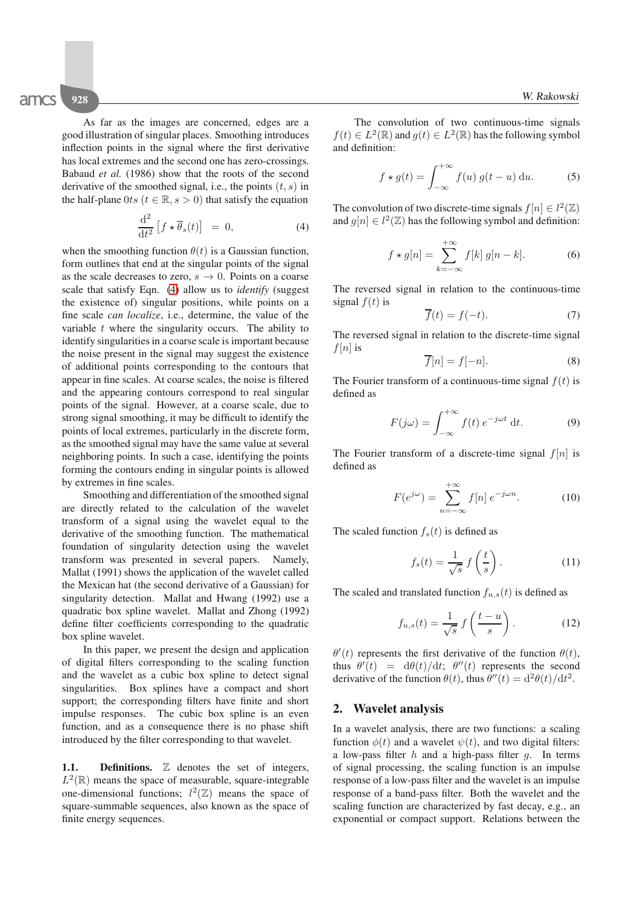As far as the images are concerned, edges are a good illustration of singular places. Smoothing introduces inflection points in the signal where the first derivative has local extremes and the second one has zero-crossings. Babaud *et al.* (1986) show that the roots of the second derivative of the smoothed signal, i.e., the points  $(t, s)$  in the half-plane  $0ts$  ( $t \in \mathbb{R}, s > 0$ ) that satisfy the equation

<span id="page-1-1"></span>
$$
\frac{\mathrm{d}^2}{\mathrm{d}t^2} \left[ f \star \overline{\theta}_s(t) \right] = 0, \tag{4}
$$

when the smoothing function  $\theta(t)$  is a Gaussian function, form outlines that end at the singular points of the signal as the scale decreases to zero,  $s \to 0$ . Points on a coarse scale that satisfy Eqn. [\(4\)](#page-1-1) allow us to *identify* (suggest the existence of) singular positions, while points on a fine scale *can localize*, i.e., determine, the value of the variable  $t$  where the singularity occurs. The ability to identify singularities in a coarse scale is important because the noise present in the signal may suggest the existence of additional points corresponding to the contours that appear in fine scales. At coarse scales, the noise is filtered and the appearing contours correspond to real singular points of the signal. However, at a coarse scale, due to strong signal smoothing, it may be difficult to identify the points of local extremes, particularly in the discrete form, as the smoothed signal may have the same value at several neighboring points. In such a case, identifying the points forming the contours ending in singular points is allowed by extremes in fine scales.

Smoothing and differentiation of the smoothed signal are directly related to the calculation of the wavelet transform of a signal using the wavelet equal to the derivative of the smoothing function. The mathematical foundation of singularity detection using the wavelet transform was presented in several papers. Namely, Mallat (1991) shows the application of the wavelet called the Mexican hat (the second derivative of a Gaussian) for singularity detection. Mallat and Hwang (1992) use a quadratic box spline wavelet. Mallat and Zhong (1992) define filter coefficients corresponding to the quadratic box spline wavelet.

In this paper, we present the design and application of digital filters corresponding to the scaling function and the wavelet as a cubic box spline to detect signal singularities. Box splines have a compact and short support; the corresponding filters have finite and short impulse responses. The cubic box spline is an even function, and as a consequence there is no phase shift introduced by the filter corresponding to that wavelet.

**1.1.** Definitions. Z denotes the set of integers,  $L^2(\mathbb{R})$  means the space of measurable, square-integrable one-dimensional functions;  $l^2(\mathbb{Z})$  means the space of square-summable sequences, also known as the space of finite energy sequences.

The convolution of two continuous-time signals  $f(t) \in L^2(\mathbb{R})$  and  $g(t) \in L^2(\mathbb{R})$  has the following symbol and definition:

$$
f \star g(t) = \int_{-\infty}^{+\infty} f(u) g(t - u) \, \mathrm{d}u. \tag{5}
$$

The convolution of two discrete-time signals  $f[n] \in l^2(\mathbb{Z})$ and  $g[n] \in l^2(\mathbb{Z})$  has the following symbol and definition:

$$
f \star g[n] = \sum_{k=-\infty}^{+\infty} f[k] g[n-k]. \tag{6}
$$

The reversed signal in relation to the continuous-time signal  $f(t)$  is

$$
\overline{f}(t) = f(-t). \tag{7}
$$

The reversed signal in relation to the discrete-time signal  $f[n]$  is

$$
f[n] = f[-n].\tag{8}
$$

The Fourier transform of a continuous-time signal  $f(t)$  is defined as

$$
F(j\omega) = \int_{-\infty}^{+\infty} f(t) e^{-j\omega t} dt.
$$
 (9)

The Fourier transform of a discrete-time signal  $f[n]$  is defined as

$$
F(e^{j\omega}) = \sum_{n=-\infty}^{+\infty} f[n] e^{-j\omega n}.
$$
 (10)

The scaled function  $f_s(t)$  is defined as

$$
f_s(t) = \frac{1}{\sqrt{s}} f\left(\frac{t}{s}\right). \tag{11}
$$

The scaled and translated function  $f_{u,s}(t)$  is defined as

$$
f_{u,s}(t) = \frac{1}{\sqrt{s}} f\left(\frac{t-u}{s}\right). \tag{12}
$$

 $\theta'(t)$  represents the first derivative of the function  $\theta(t)$ , thus  $\theta'(t) = d\theta(t)/dt$ ;  $\theta''(t)$  represents the second derivative of the function  $\theta(t)$ , thus  $\theta''(t)=\frac{d^2\theta(t)}{dt^2}$ .

#### <span id="page-1-0"></span>**2. Wavelet analysis**

In a wavelet analysis, there are two functions: a scaling function  $\phi(t)$  and a wavelet  $\psi(t)$ , and two digital filters: a low-pass filter  $h$  and a high-pass filter  $g$ . In terms of signal processing, the scaling function is an impulse response of a low-pass filter and the wavelet is an impulse response of a band-pass filter. Both the wavelet and the scaling function are characterized by fast decay, e.g., an exponential or compact support. Relations between the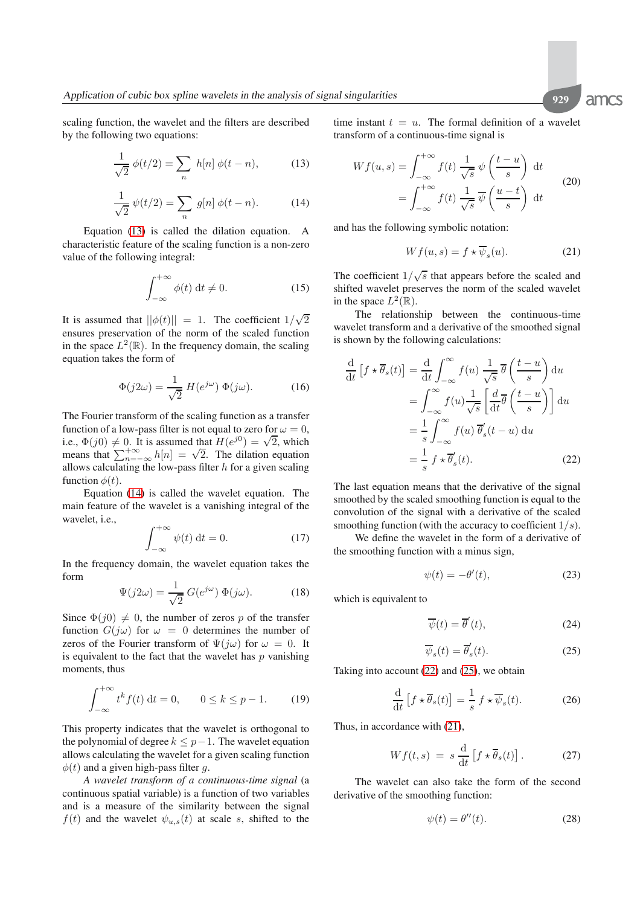scaling function, the wavelet and the filters are described by the following two equations:

<span id="page-2-0"></span>
$$
\frac{1}{\sqrt{2}} \phi(t/2) = \sum_{n} h[n] \phi(t - n),
$$
 (13)

<span id="page-2-1"></span>
$$
\frac{1}{\sqrt{2}}\,\psi(t/2) = \sum_{n} g[n]\,\phi(t-n). \tag{14}
$$

Equation [\(13\)](#page-2-0) is called the dilation equation. A characteristic feature of the scaling function is a non-zero value of the following integral:

$$
\int_{-\infty}^{+\infty} \phi(t) dt \neq 0.
$$
 (15)

It is assumed that  $||\phi(t)|| = 1$ . The coefficient  $1/\sqrt{2}$ ensures preservation of the norm of the scaled function in the space  $L^2(\mathbb{R})$ . In the frequency domain, the scaling equation takes the form of

$$
\Phi(j2\omega) = \frac{1}{\sqrt{2}} H(e^{j\omega}) \Phi(j\omega).
$$
 (16)

The Fourier transform of the scaling function as a transfer function of a low-pass filter is not equal to zero for  $\omega = 0$ , function of a low-pass lifter is not equal to zero for  $\omega = 0$ ,<br>i.e.,  $\Phi(j0) \neq 0$ . It is assumed that  $H(e^{j0}) = \sqrt{2}$ , which n.e.,  $\Psi(y0) \neq 0$ . It is assumed that  $H(e^{y}) = \sqrt{2}$ , which<br>means that  $\sum_{n=-\infty}^{+\infty} h[n] = \sqrt{2}$ . The dilation equation allows calculating the low-pass filter  $h$  for a given scaling function  $\phi(t)$ .

Equation [\(14\)](#page-2-1) is called the wavelet equation. The main feature of the wavelet is a vanishing integral of the wavelet, i.e.,

$$
\int_{-\infty}^{+\infty} \psi(t) dt = 0.
$$
 (17)

In the frequency domain, the wavelet equation takes the form

$$
\Psi(j2\omega) = \frac{1}{\sqrt{2}} G(e^{j\omega}) \Phi(j\omega).
$$
 (18)

Since  $\Phi(j0) \neq 0$ , the number of zeros p of the transfer function  $G(j\omega)$  for  $\omega = 0$  determines the number of zeros of the Fourier transform of  $\Psi(j\omega)$  for  $\omega = 0$ . It is equivalent to the fact that the wavelet has  $p$  vanishing moments, thus

$$
\int_{-\infty}^{+\infty} t^k f(t) \, \mathrm{d}t = 0, \qquad 0 \le k \le p - 1. \tag{19}
$$

This property indicates that the wavelet is orthogonal to the polynomial of degree  $k \leq p-1$ . The wavelet equation allows calculating the wavelet for a given scaling function  $\phi(t)$  and a given high-pass filter g.

*A wavelet transform of a continuous-time signal* (a continuous spatial variable) is a function of two variables and is a measure of the similarity between the signal  $f(t)$  and the wavelet  $\psi_{u,s}(t)$  at scale s, shifted to the

time instant  $t = u$ . The formal definition of a wavelet transform of a continuous-time signal is

$$
Wf(u,s) = \int_{-\infty}^{+\infty} f(t) \frac{1}{\sqrt{s}} \psi\left(\frac{t-u}{s}\right) dt
$$
  
= 
$$
\int_{-\infty}^{+\infty} f(t) \frac{1}{\sqrt{s}} \overline{\psi}\left(\frac{u-t}{s}\right) dt
$$
 (20)

and has the following symbolic notation:

<span id="page-2-4"></span>
$$
Wf(u,s) = f \star \psi_s(u). \tag{21}
$$

The coefficient  $1/\sqrt{s}$  that appears before the scaled and shifted wavelet preserves the norm of the scaled wavelet in the space  $L^2(\mathbb{R})$ .

The relationship between the continuous-time wavelet transform and a derivative of the smoothed signal is shown by the following calculations:

$$
\frac{d}{dt} [f \star \overline{\theta}_s(t)] = \frac{d}{dt} \int_{-\infty}^{\infty} f(u) \frac{1}{\sqrt{s}} \overline{\theta} \left( \frac{t - u}{s} \right) du
$$

$$
= \int_{-\infty}^{\infty} f(u) \frac{1}{\sqrt{s}} \left[ \frac{d}{dt} \overline{\theta} \left( \frac{t - u}{s} \right) \right] du
$$

$$
= \frac{1}{s} \int_{-\infty}^{\infty} f(u) \overline{\theta}'_s(t - u) du
$$

$$
= \frac{1}{s} f \star \overline{\theta}'_s(t).
$$
(22)

The last equation means that the derivative of the signal smoothed by the scaled smoothing function is equal to the convolution of the signal with a derivative of the scaled smoothing function (with the accuracy to coefficient  $1/s$ ).

We define the wavelet in the form of a derivative of the smoothing function with a minus sign,

<span id="page-2-2"></span>
$$
\psi(t) = -\theta'(t),\tag{23}
$$

which is equivalent to

$$
\overline{\psi}(t) = \overline{\theta}'(t),\tag{24}
$$

<span id="page-2-3"></span>
$$
\overline{\psi}_s(t) = \overline{\theta}'_s(t). \tag{25}
$$

Taking into account [\(22\)](#page-2-2) and [\(25\)](#page-2-3), we obtain

$$
\frac{\mathrm{d}}{\mathrm{d}t} \left[ f \star \overline{\theta}_s(t) \right] = \frac{1}{s} f \star \overline{\psi}_s(t). \tag{26}
$$

Thus, in accordance with [\(21\)](#page-2-4),

$$
Wf(t,s) = s \frac{d}{dt} \left[ f \star \overline{\theta}_s(t) \right]. \tag{27}
$$

The wavelet can also take the form of the second derivative of the smoothing function:

$$
\psi(t) = \theta''(t). \tag{28}
$$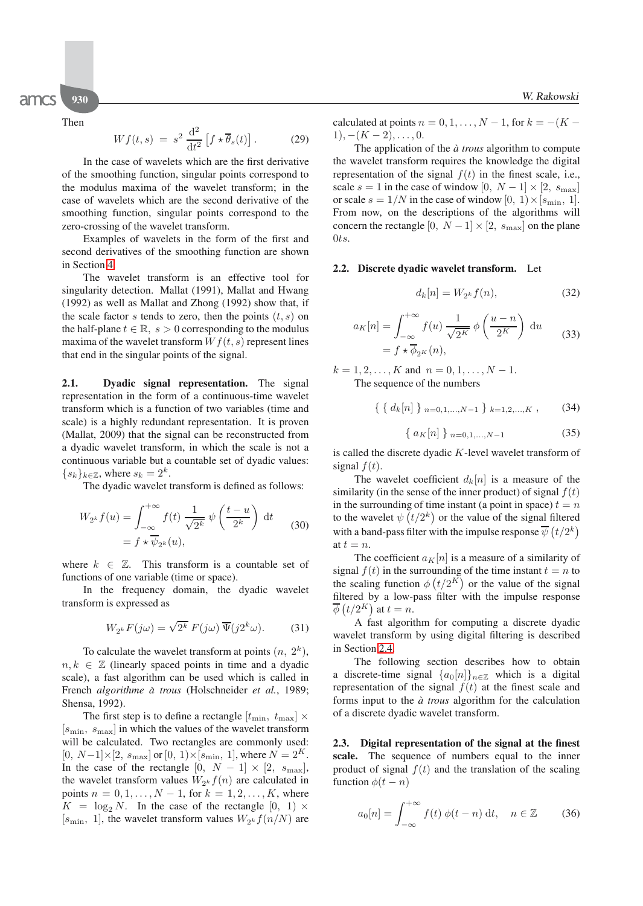Then

$$
Wf(t,s) = s^2 \frac{\mathrm{d}^2}{\mathrm{d}t^2} \left[ f \star \overline{\theta}_s(t) \right]. \tag{29}
$$

In the case of wavelets which are the first derivative of the smoothing function, singular points correspond to the modulus maxima of the wavelet transform; in the case of wavelets which are the second derivative of the smoothing function, singular points correspond to the zero-crossing of the wavelet transform.

Examples of wavelets in the form of the first and second derivatives of the smoothing function are shown in Section [4.](#page-5-0)

The wavelet transform is an effective tool for singularity detection. Mallat (1991), Mallat and Hwang (1992) as well as Mallat and Zhong (1992) show that, if the scale factor s tends to zero, then the points  $(t, s)$  on the half-plane  $t \in \mathbb{R}$ ,  $s > 0$  corresponding to the modulus maxima of the wavelet transform  $Wf(t, s)$  represent lines that end in the singular points of the signal.

**2.1. Dyadic signal representation.** The signal representation in the form of a continuous-time wavelet transform which is a function of two variables (time and scale) is a highly redundant representation. It is proven (Mallat, 2009) that the signal can be reconstructed from a dyadic wavelet transform, in which the scale is not a continuous variable but a countable set of dyadic values:  ${s_k}_{k \in \mathbb{Z}}$ , where  $s_k = 2^k$ .

The dyadic wavelet transform is defined as follows:

$$
W_{2^k} f(u) = \int_{-\infty}^{+\infty} f(t) \frac{1}{\sqrt{2^k}} \psi\left(\frac{t-u}{2^k}\right) dt
$$
  
=  $f \star \overline{\psi}_{2^k}(u)$ , (30)

where  $k \in \mathbb{Z}$ . This transform is a countable set of functions of one variable (time or space).

In the frequency domain, the dyadic wavelet transform is expressed as

$$
W_{2^k} F(j\omega) = \sqrt{2^k} F(j\omega) \overline{\Psi}(j2^k \omega). \tag{31}
$$

To calculate the wavelet transform at points  $(n, 2<sup>k</sup>)$ ,  $n, k \in \mathbb{Z}$  (linearly spaced points in time and a dyadic scale), a fast algorithm can be used which is called in French *algorithme a trous `* (Holschneider *et al.*, 1989; Shensa, 1992).

The first step is to define a rectangle  $[t_{\min}, t_{\max}] \times$  $[s_{\min}, s_{\max}]$  in which the values of the wavelet transform will be calculated. Two rectangles are commonly used:  $[0, N-1] \times [2, s_{\text{max}}]$  or  $[0, 1) \times [s_{\text{min}}, 1]$ , where  $N = 2<sup>K</sup>$ . In the case of the rectangle  $[0, N - 1] \times [2, s_{\text{max}}]$ , the wavelet transform values  $W_{2k} f(n)$  are calculated in points  $n = 0, 1, ..., N - 1$ , for  $k = 1, 2, ..., K$ , where  $K = \log_2 N$ . In the case of the rectangle  $[0, 1] \times$  $[s_{\text{min}}, 1]$ , the wavelet transform values  $W_{2^k} f(n/N)$  are calculated at points  $n = 0, 1, \ldots, N - 1$ , for  $k = -(K 1), -(K-2), \ldots, 0.$ 

The application of the  $\dot{a}$  *trous* algorithm to compute the wavelet transform requires the knowledge the digital representation of the signal  $f(t)$  in the finest scale, i.e., scale  $s = 1$  in the case of window  $[0, N - 1] \times [2, s_{\text{max}}]$ or scale  $s = 1/N$  in the case of window  $[0, 1) \times [s_{\min}, 1]$ . From now, on the descriptions of the algorithms will concern the rectangle  $[0, N-1] \times [2, s_{\text{max}}]$  on the plane 0ts.

#### **2.2. Discrete dyadic wavelet transform.** Let

$$
d_k[n] = W_{2^k} f(n),
$$
 (32)

$$
a_K[n] = \int_{-\infty}^{+\infty} f(u) \frac{1}{\sqrt{2^K}} \phi\left(\frac{u-n}{2^K}\right) du
$$
  
=  $f \star \overline{\phi}_{2^K}(n),$  (33)

 $k = 1, 2, \ldots, K$  and  $n = 0, 1, \ldots, N - 1$ . The sequence of the numbers

 $\{ \{ d_k[n] \}_{n=0,1,\dots,N-1} \}_{k=1,2,\dots,K}$ , (34)

$$
\{ a_K[n] \}_{n=0,1,\dots,N-1} \tag{35}
$$

is called the discrete dyadic K-level wavelet transform of signal  $f(t)$ .

The wavelet coefficient  $d_k[n]$  is a measure of the similarity (in the sense of the inner product) of signal  $f(t)$ in the surrounding of time instant (a point in space)  $t = n$ to the wavelet  $\psi(t/2^k)$  or the value of the signal filtered with a band-pass filter with the impulse response  $\overline{\psi}(t/2^k)$ at  $t = n$ .

The coefficient  $a_K[n]$  is a measure of a similarity of signal  $f(t)$  in the surrounding of the time instant  $t = n$  to the scaling function  $\phi(t/2^K)$  or the value of the signal filtered by a low-pass filter with the impulse response  $\overline{\phi}(t/2^K)$  at  $t=n$ .

A fast algorithm for computing a discrete dyadic wavelet transform by using digital filtering is described in Section [2.4.](#page-4-0)

The following section describes how to obtain a discrete-time signal  $\{a_0[n]\}_{n\in\mathbb{Z}}$  which is a digital representation of the signal  $f(t)$  at the finest scale and forms input to the  $\dot{a}$  *trous* algorithm for the calculation of a discrete dyadic wavelet transform.

**2.3. Digital representation of the signal at the finest scale.** The sequence of numbers equal to the inner product of signal  $f(t)$  and the translation of the scaling function  $\phi(t - n)$ 

$$
a_0[n] = \int_{-\infty}^{+\infty} f(t) \phi(t - n) \, \mathrm{d}t, \quad n \in \mathbb{Z} \tag{36}
$$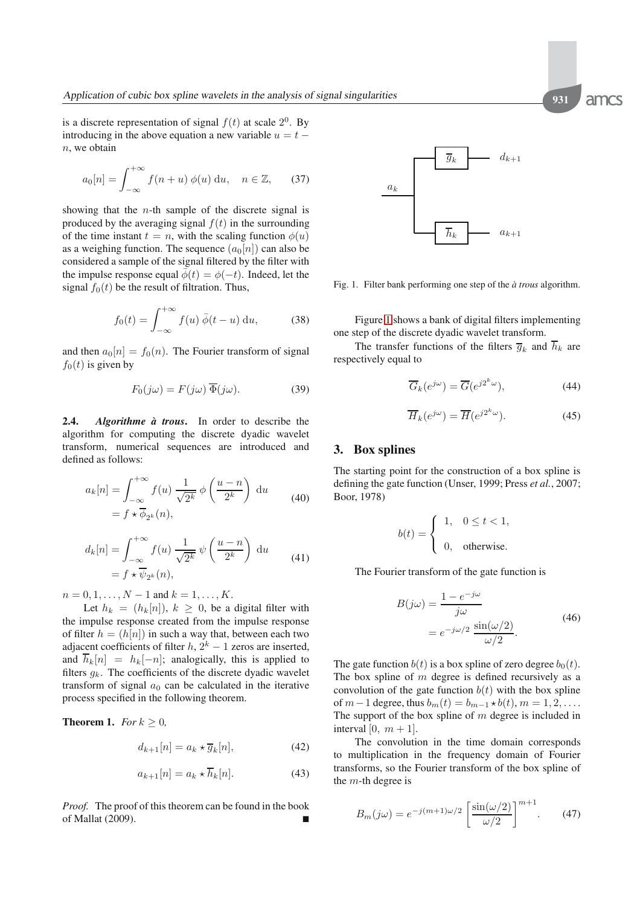is a discrete representation of signal  $f(t)$  at scale  $2^0$ . By introducing in the above equation a new variable  $u = t$  $n$ , we obtain

$$
a_0[n] = \int_{-\infty}^{+\infty} f(n+u) \phi(u) \, \mathrm{d}u, \quad n \in \mathbb{Z}, \qquad (37)
$$

showing that the  $n$ -th sample of the discrete signal is produced by the averaging signal  $f(t)$  in the surrounding of the time instant  $t = n$ , with the scaling function  $\phi(u)$ as a weighing function. The sequence  $(a_0[n])$  can also be considered a sample of the signal filtered by the filter with the impulse response equal  $\bar{\phi}(t) = \phi(-t)$ . Indeed, let the signal  $f_0(t)$  be the result of filtration. Thus,

$$
f_0(t) = \int_{-\infty}^{+\infty} f(u) \,\overline{\phi}(t-u) \, \mathrm{d}u,\tag{38}
$$

and then  $a_0[n] = f_0(n)$ . The Fourier transform of signal  $f_0(t)$  is given by

$$
F_0(j\omega) = F(j\omega) \overline{\Phi}(j\omega). \tag{39}
$$

<span id="page-4-0"></span>**2.4.** *Algorithme a trous `* **.** In order to describe the algorithm for computing the discrete dyadic wavelet transform, numerical sequences are introduced and defined as follows:

$$
a_k[n] = \int_{-\infty}^{+\infty} f(u) \frac{1}{\sqrt{2^k}} \phi\left(\frac{u-n}{2^k}\right) du
$$
  
=  $f \star \overline{\phi}_{2^k}(n),$  (40)

$$
d_k[n] = \int_{-\infty}^{+\infty} f(u) \frac{1}{\sqrt{2^k}} \psi\left(\frac{u-n}{2^k}\right) du
$$
  
=  $f \star \overline{\psi}_{2^k}(n),$  (41)

 $n = 0, 1, \ldots, N - 1$  and  $k = 1, \ldots, K$ .

Let  $h_k = (h_k[n])$ ,  $k \geq 0$ , be a digital filter with the impulse response created from the impulse response of filter  $h = (h[n])$  in such a way that, between each two adjacent coefficients of filter  $h$ ,  $2<sup>k</sup> - 1$  zeros are inserted, and  $\overline{h}_k[n] = h_k[-n]$ ; analogically, this is applied to filters  $g_k$ . The coefficients of the discrete dyadic wavelet transform of signal  $a_0$  can be calculated in the iterative process specified in the following theorem.

**Theorem 1.** *For*  $k \geq 0$ *,* 

$$
d_{k+1}[n] = a_k \star \overline{g}_k[n],\tag{42}
$$

$$
a_{k+1}[n] = a_k \star \overline{h}_k[n]. \tag{43}
$$

*Proof.* The proof of this theorem can be found in the book of Mallat (2009).



<span id="page-4-1"></span>Fig. 1. Filter bank performing one step of the  $\dot{a}$  trous algorithm.

Figure [1](#page-4-1) shows a bank of digital filters implementing one step of the discrete dyadic wavelet transform.

The transfer functions of the filters  $\overline{g}_k$  and  $\overline{h}_k$  are respectively equal to

<span id="page-4-3"></span>
$$
\overline{G}_k(e^{j\omega}) = \overline{G}(e^{j2^k\omega}),\tag{44}
$$

<span id="page-4-4"></span>
$$
\overline{H}_k(e^{j\omega}) = \overline{H}(e^{j2^k\omega}).
$$
\n(45)

#### **3. Box splines**

The starting point for the construction of a box spline is defining the gate function (Unser, 1999; Press *et al.*, 2007; Boor, 1978)

$$
b(t) = \begin{cases} 1, & 0 \le t < 1, \\ 0, & \text{otherwise.} \end{cases}
$$

The Fourier transform of the gate function is

$$
B(j\omega) = \frac{1 - e^{-j\omega}}{j\omega}
$$
  
=  $e^{-j\omega/2} \frac{\sin(\omega/2)}{\omega/2}$ . (46)

The gate function  $b(t)$  is a box spline of zero degree  $b<sub>0</sub>(t)$ . The box spline of  $m$  degree is defined recursively as a convolution of the gate function  $b(t)$  with the box spline of  $m-1$  degree, thus  $b_m(t) = b_{m-1} \star b(t)$ ,  $m = 1, 2, \ldots$ . The support of the box spline of  $m$  degree is included in interval [0,  $m + 1$ ].

The convolution in the time domain corresponds to multiplication in the frequency domain of Fourier transforms, so the Fourier transform of the box spline of the  $m$ -th degree is

<span id="page-4-2"></span>
$$
B_m(j\omega) = e^{-j(m+1)\omega/2} \left[ \frac{\sin(\omega/2)}{\omega/2} \right]^{m+1}.
$$
 (47)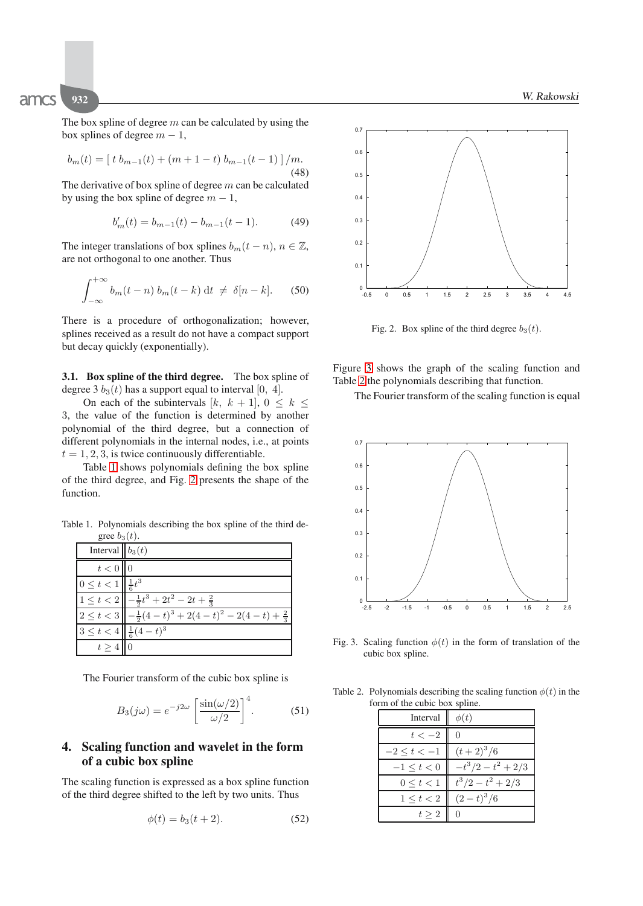The box spline of degree  $m$  can be calculated by using the box splines of degree  $m - 1$ ,

$$
b_m(t) = [t b_{m-1}(t) + (m+1-t) b_{m-1}(t-1)] / m.
$$
\n(48)

The derivative of box spline of degree  $m$  can be calculated by using the box spline of degree  $m - 1$ ,

<span id="page-5-6"></span>
$$
b'_m(t) = b_{m-1}(t) - b_{m-1}(t-1). \tag{49}
$$

The integer translations of box splines  $b_m(t - n)$ ,  $n \in \mathbb{Z}$ , are not orthogonal to one another. Thus

$$
\int_{-\infty}^{+\infty} b_m(t-n) b_m(t-k) dt \neq \delta[n-k].
$$
 (50)

There is a procedure of orthogonalization; however, splines received as a result do not have a compact support but decay quickly (exponentially).

**3.1. Box spline of the third degree.** The box spline of degree 3  $b_3(t)$  has a support equal to interval [0, 4].

On each of the subintervals  $[k, k+1], 0 \leq k \leq$ 3, the value of the function is determined by another polynomial of the third degree, but a connection of different polynomials in the internal nodes, i.e., at points  $t = 1, 2, 3$ , is twice continuously differentiable.

Table [1](#page-5-1) shows polynomials defining the box spline of the third degree, and Fig. [2](#page-5-2) presents the shape of the function.

<span id="page-5-1"></span>Table 1. Polynomials describing the box spline of the third degree  $b_2(t)$ .

| $H^{\text{loc}}$ $\sigma$ <sub>0</sub> $\sigma$ <sub>1</sub> . |                                                                                  |
|----------------------------------------------------------------|----------------------------------------------------------------------------------|
| Interval $b_3(t)$                                              |                                                                                  |
| $t<0$ 0                                                        |                                                                                  |
| $0 \le t < 1 \le \frac{1}{6} t^3$                              |                                                                                  |
|                                                                | $1 \leq t < 2 \left( -\frac{1}{2}t^3 + 2t^2 - 2t + \frac{2}{3} \right)$          |
|                                                                | $2 \le t < 3 \left(-\frac{1}{2}(4-t)^3 + 2(4-t)^2 - 2(4-t) + \frac{2}{3}\right)$ |
| $3 \leq t < 4 \leq \frac{1}{6}(4-t)^3$                         |                                                                                  |
| $t > 4$ 0                                                      |                                                                                  |

The Fourier transform of the cubic box spline is

$$
B_3(j\omega) = e^{-j2\omega} \left[ \frac{\sin(\omega/2)}{\omega/2} \right]^4.
$$
 (51)

# <span id="page-5-0"></span>**4. Scaling function and wavelet in the form of a cubic box spline**

The scaling function is expressed as a box spline function of the third degree shifted to the left by two units. Thus

<span id="page-5-5"></span>
$$
\phi(t) = b_3(t+2). \tag{52}
$$



<span id="page-5-2"></span>Fig. 2. Box spline of the third degree  $b_3(t)$ .

Figure [3](#page-5-3) shows the graph of the scaling function and Table [2](#page-5-4) the polynomials describing that function.

The Fourier transform of the scaling function is equal



<span id="page-5-3"></span>Fig. 3. Scaling function  $\phi(t)$  in the form of translation of the cubic box spline.

<span id="page-5-4"></span>Table 2. Polynomials describing the scaling function  $\phi(t)$  in the form of the cubic box spline.

| Interval         | $\phi(t)$                                         |
|------------------|---------------------------------------------------|
| $t<-2$           | - 0                                               |
| $-2 \leq t < -1$ | $(t+2)^3/6$                                       |
|                  | $-1 \le t < 0$ $- t^3/2 - t^2 + 2/3$              |
|                  | $0 \leq t < 1$ $\left  t^3/2 - t^2 + 2/3 \right $ |
| $1 \leq t < 2$   | $(2-t)^3/6$                                       |
| t > 2            |                                                   |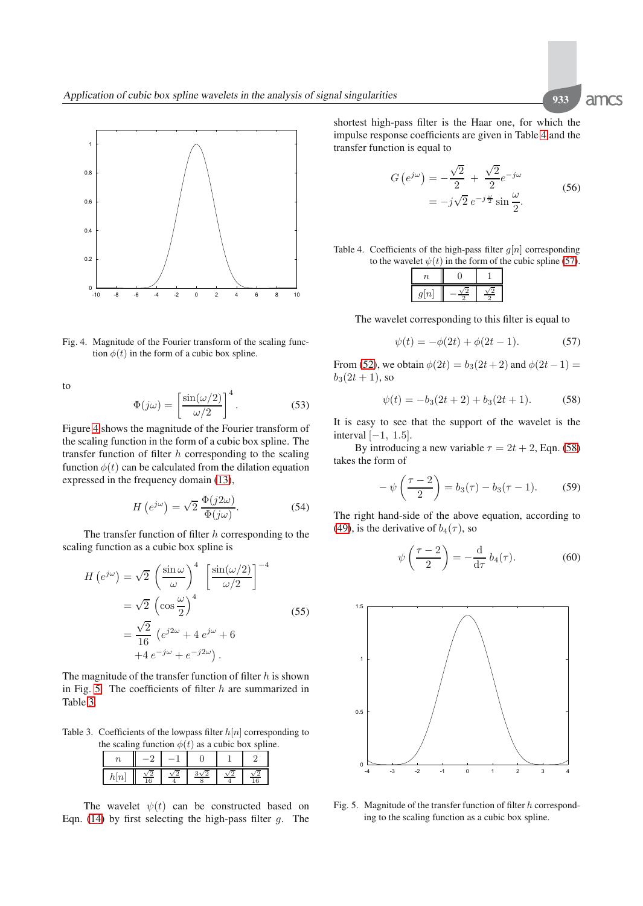-10 -8 -6 -4 -2 0 2 4 6 8 10  $0 - 10$ 

<span id="page-6-0"></span>Fig. 4. Magnitude of the Fourier transform of the scaling function  $\phi(t)$  in the form of a cubic box spline.

to

0.2

0.4

0.6

0.8

1

$$
\Phi(j\omega) = \left[\frac{\sin(\omega/2)}{\omega/2}\right]^4.
$$
\n(53)

Figure [4](#page-6-0) shows the magnitude of the Fourier transform of the scaling function in the form of a cubic box spline. The transfer function of filter  $h$  corresponding to the scaling function  $\phi(t)$  can be calculated from the dilation equation expressed in the frequency domain [\(13\)](#page-2-0),

$$
H\left(e^{j\omega}\right) = \sqrt{2} \frac{\Phi(j2\omega)}{\Phi(j\omega)}.
$$
 (54)

The transfer function of filter  $h$  corresponding to the scaling function as a cubic box spline is

<span id="page-6-7"></span>
$$
H\left(e^{j\omega}\right) = \sqrt{2} \left(\frac{\sin \omega}{\omega}\right)^4 \left[\frac{\sin(\omega/2)}{\omega/2}\right]^{-4}
$$

$$
= \sqrt{2} \left(\cos \frac{\omega}{2}\right)^4
$$

$$
= \frac{\sqrt{2}}{16} \left(e^{j2\omega} + 4e^{j\omega} + 6\right)
$$

$$
+4e^{-j\omega} + e^{-j2\omega}).
$$
(55)

The magnitude of the transfer function of filter  $h$  is shown in Fig. [5.](#page-6-1) The coefficients of filter  $h$  are summarized in Table [3.](#page-6-2)

<span id="page-6-2"></span>Table 3. Coefficients of the lowpass filter  $h[n]$  corresponding to the scaling function  $\phi(t)$  as a cubic box spline.

| u | $\overline{10}$ |  |  |
|---|-----------------|--|--|

The wavelet  $\psi(t)$  can be constructed based on Eqn. [\(14\)](#page-2-1) by first selecting the high-pass filter  $q$ . The shortest high-pass filter is the Haar one, for which the impulse response coefficients are given in Table [4](#page-6-3) and the transfer function is equal to

$$
G\left(e^{j\omega}\right) = -\frac{\sqrt{2}}{2} + \frac{\sqrt{2}}{2}e^{-j\omega}
$$

$$
= -j\sqrt{2}e^{-j\frac{\omega}{2}}\sin\frac{\omega}{2}.
$$
(56)

<span id="page-6-6"></span><span id="page-6-3"></span>Table 4. Coefficients of the high-pass filter  $q[n]$  corresponding to the wavelet  $\psi(t)$  in the form of the cubic spline [\(57\)](#page-6-4).

| n |  |
|---|--|

The wavelet corresponding to this filter is equal to

<span id="page-6-4"></span>
$$
\psi(t) = -\phi(2t) + \phi(2t - 1). \tag{57}
$$

From [\(52\)](#page-5-5), we obtain  $\phi(2t) = b_3(2t+2)$  and  $\phi(2t-1) =$  $b_3(2t + 1)$ , so

<span id="page-6-5"></span>
$$
\psi(t) = -b_3(2t+2) + b_3(2t+1). \tag{58}
$$

It is easy to see that the support of the wavelet is the interval  $[-1, 1.5]$ .

By introducing a new variable  $\tau = 2t + 2$ , Eqn. [\(58\)](#page-6-5) takes the form of

$$
-\psi\left(\frac{\tau-2}{2}\right) = b_3(\tau) - b_3(\tau-1). \tag{59}
$$

The right hand-side of the above equation, according to [\(49\)](#page-5-6), is the derivative of  $b_4(\tau)$ , so

$$
\psi\left(\frac{\tau-2}{2}\right) = -\frac{\mathrm{d}}{\mathrm{d}\tau} b_4(\tau). \tag{60}
$$



<span id="page-6-1"></span>Fig. 5. Magnitude of the transfer function of filter  $h$  corresponding to the scaling function as a cubic box spline.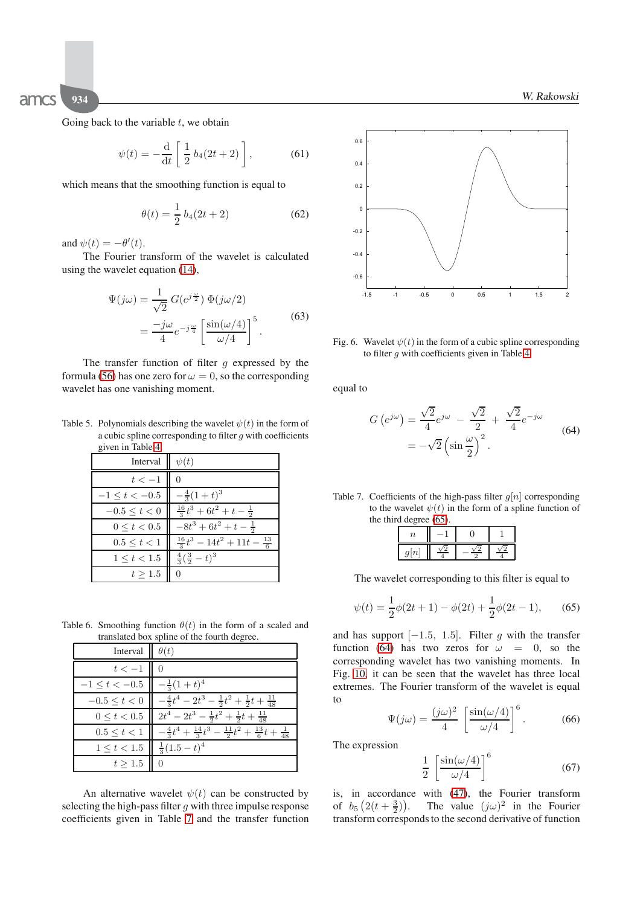Going back to the variable  $t$ , we obtain

$$
\psi(t) = -\frac{\mathrm{d}}{\mathrm{d}t} \left[ \frac{1}{2} b_4(2t+2) \right],\tag{61}
$$

which means that the smoothing function is equal to

$$
\theta(t) = \frac{1}{2} b_4(2t + 2) \tag{62}
$$

and  $\psi(t) = -\theta'(t)$ .

The Fourier transform of the wavelet is calculated using the wavelet equation [\(14\)](#page-2-1),

$$
\Psi(j\omega) = \frac{1}{\sqrt{2}} G(e^{j\frac{\omega}{2}}) \Phi(j\omega/2)
$$

$$
= \frac{-j\omega}{4} e^{-j\frac{\omega}{4}} \left[ \frac{\sin(\omega/4)}{\omega/4} \right]^5.
$$
(63)

The transfer function of filter  $g$  expressed by the formula [\(56\)](#page-6-6) has one zero for  $\omega = 0$ , so the corresponding wavelet has one vanishing moment.

Table 5. Polynomials describing the wavelet  $\psi(t)$  in the form of a cubic spline corresponding to filter  $g$  with coefficients given in Table [4.](#page-6-3)

| Interval $\ \psi(t)\ $                        |                                                |
|-----------------------------------------------|------------------------------------------------|
| $t < -1$                                      | $\overline{0}$                                 |
| $-1 \le t < -0.5$ $\Big  -\frac{4}{3}(1+t)^3$ |                                                |
| $-0.5 \le t < 0$                              | $\frac{16}{3}t^3+6t^2+t-\frac{1}{2}$           |
| $0 \le t < 0.5$                               | $-8t^3+6t^2+t-\frac{1}{2}$                     |
| $0.5 \le t < 1$                               | $\frac{16}{3}t^3 - 14t^2 + 11t - \frac{13}{6}$ |
| $1 \le t < 1.5$                               | $\frac{4}{3}(\frac{3}{2}-t)^3$                 |
| $t \geq 1.5$                                  | $\Omega$                                       |

Table 6. Smoothing function  $\theta(t)$  in the form of a scaled and translated box spline of the fourth degree.

| Interval                                                  | $\theta(t)$                                                                                       |
|-----------------------------------------------------------|---------------------------------------------------------------------------------------------------|
| $t<-1$                                                    | ШO                                                                                                |
| $-1 \leq t < -0.5$ $\left  \right $ $-\frac{1}{3}(1+t)^4$ |                                                                                                   |
|                                                           | $-0.5 \le t < 0$ $\Big  -\frac{4}{3}t^4 - 2t^3 - \frac{1}{2}t^2 + \frac{1}{2}t + \frac{11}{48}$   |
|                                                           | $0 \leq t < 0.5$ $\left\  2t^4 - 2t^3 - \frac{1}{2}t^2 + \frac{1}{2}t + \frac{11}{48} \right\}$   |
| $0.5 \le t \le 1$                                         | $\left[-\frac{4}{3}t^4 + \frac{14}{3}t^3 - \frac{11}{2}t^2 + \frac{13}{6}t + \frac{1}{48}\right]$ |
| $1 \leq t < 1.5$ $\left\  \frac{1}{3}(1.5-t)^4 \right\ $  |                                                                                                   |
| $t \geq 1.5$                                              |                                                                                                   |

An alternative wavelet  $\psi(t)$  can be constructed by selecting the high-pass filter  $q$  with three impulse response coefficients given in Table [7](#page-7-0) and the transfer function



<span id="page-7-3"></span>Fig. 6. Wavelet  $\psi(t)$  in the form of a cubic spline corresponding to filter  $q$  with coefficients given in Table [4.](#page-6-3)

<span id="page-7-2"></span>equal to

$$
G\left(e^{j\omega}\right) = \frac{\sqrt{2}}{4}e^{j\omega} - \frac{\sqrt{2}}{2} + \frac{\sqrt{2}}{4}e^{-j\omega}
$$

$$
= -\sqrt{2}\left(\sin\frac{\omega}{2}\right)^2.
$$
 (64)

<span id="page-7-0"></span>Table 7. Coefficients of the high-pass filter  $g[n]$  corresponding to the wavelet  $\psi(t)$  in the form of a spline function of the third degree [\(65\)](#page-7-1).

The wavelet corresponding to this filter is equal to

<span id="page-7-1"></span>
$$
\psi(t) = \frac{1}{2}\phi(2t+1) - \phi(2t) + \frac{1}{2}\phi(2t-1),\tag{65}
$$

and has support  $[-1.5, 1.5]$ . Filter g with the transfer function [\(64\)](#page-7-2) has two zeros for  $\omega = 0$ , so the corresponding wavelet has two vanishing moments. In Fig. [10,](#page-9-0) it can be seen that the wavelet has three local extremes. The Fourier transform of the wavelet is equal to

$$
\Psi(j\omega) = \frac{(j\omega)^2}{4} \left[ \frac{\sin(\omega/4)}{\omega/4} \right]^6.
$$
 (66)

The expression

$$
\frac{1}{2} \left[ \frac{\sin(\omega/4)}{\omega/4} \right]^6 \tag{67}
$$

is, in accordance with [\(47\)](#page-4-2), the Fourier transform of  $b_5\left(2(t+\frac{3}{2})\right)$ The value  $(j\omega)^2$  in the Fourier transform corresponds to the second derivative of function

amcs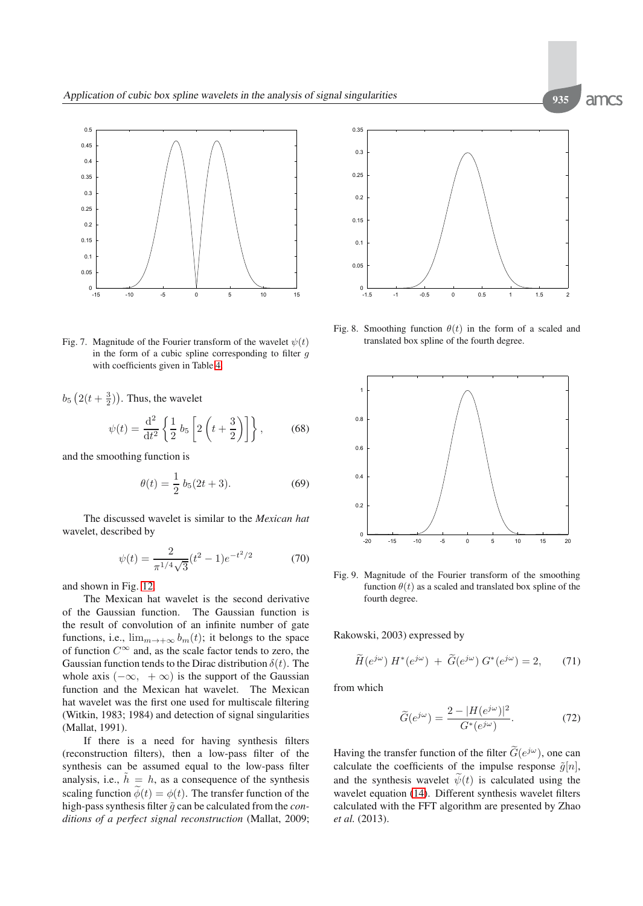

Fig. 7. Magnitude of the Fourier transform of the wavelet  $\psi(t)$ in the form of a cubic spline corresponding to filter  $q$ with coefficients given in Table [4.](#page-6-3)

 $b_5\left(2(t+\frac{3}{2})\right)$ . Thus, the wavelet

$$
\psi(t) = \frac{\mathrm{d}^2}{\mathrm{d}t^2} \left\{ \frac{1}{2} b_5 \left[ 2 \left( t + \frac{3}{2} \right) \right] \right\},\tag{68}
$$

and the smoothing function is

$$
\theta(t) = \frac{1}{2} b_5(2t + 3). \tag{69}
$$

The discussed wavelet is similar to the *Mexican hat* wavelet, described by

$$
\psi(t) = \frac{2}{\pi^{1/4}\sqrt{3}}(t^2 - 1)e^{-t^2/2}
$$
\n(70)

and shown in Fig. [12.](#page-10-1)

The Mexican hat wavelet is the second derivative of the Gaussian function. The Gaussian function is the result of convolution of an infinite number of gate functions, i.e.,  $\lim_{m\to+\infty} b_m(t)$ ; it belongs to the space of function  $C^{\infty}$  and, as the scale factor tends to zero, the Gaussian function tends to the Dirac distribution  $\delta(t)$ . The whole axis  $(-\infty, +\infty)$  is the support of the Gaussian function and the Mexican hat wavelet. The Mexican hat wavelet was the first one used for multiscale filtering (Witkin, 1983; 1984) and detection of signal singularities (Mallat, 1991).

If there is a need for having synthesis filters (reconstruction filters), then a low-pass filter of the synthesis can be assumed equal to the low-pass filter analysis, i.e.,  $\tilde{h} = h$ , as a consequence of the synthesis scaling function  $\widetilde{\phi}(t) = \phi(t)$ . The transfer function of the high-pass synthesis filter  $\tilde{q}$  can be calculated from the *conditions of a perfect signal reconstruction* (Mallat, 2009;



Fig. 8. Smoothing function  $\theta(t)$  in the form of a scaled and translated box spline of the fourth degree.



Fig. 9. Magnitude of the Fourier transform of the smoothing function  $\theta(t)$  as a scaled and translated box spline of the fourth degree.

Rakowski, 2003) expressed by

$$
\widetilde{H}(e^{j\omega}) H^*(e^{j\omega}) + \widetilde{G}(e^{j\omega}) G^*(e^{j\omega}) = 2, \qquad (71)
$$

from which

$$
\widetilde{G}(e^{j\omega}) = \frac{2 - |H(e^{j\omega})|^2}{G^*(e^{j\omega})}.
$$
 (72)

Having the transfer function of the filter  $\widetilde{G}(e^{j\omega})$ , one can calculate the coefficients of the impulse response  $\tilde{g}[n]$ , and the synthesis wavelet  $\tilde{\psi}(t)$  is calculated using the wavelet equation [\(14\)](#page-2-1). Different synthesis wavelet filters calculated with the FFT algorithm are presented by Zhao *et al.* (2013).

amcs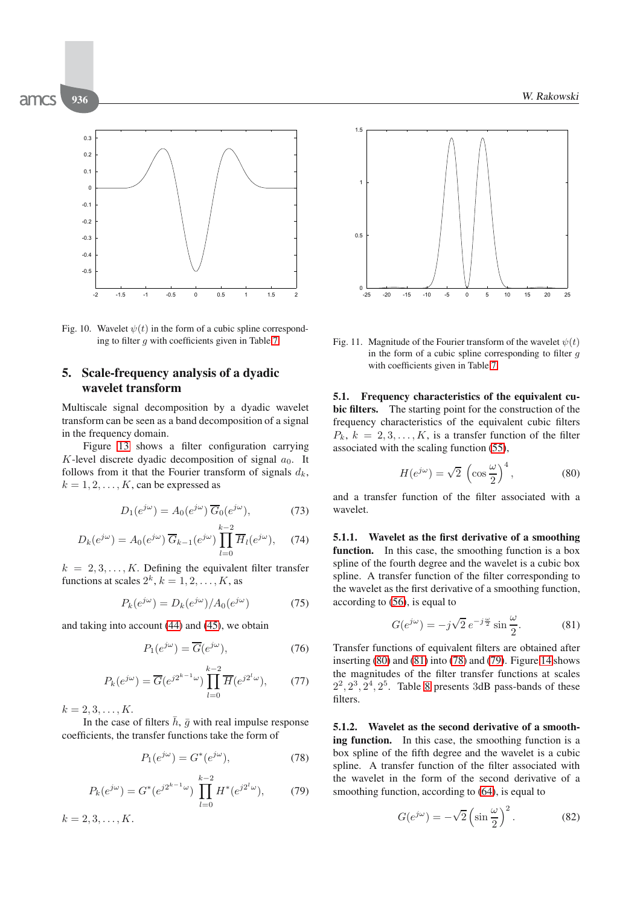

<span id="page-9-0"></span>Fig. 10. Wavelet  $\psi(t)$  in the form of a cubic spline corresponding to filter  $q$  with coefficients given in Table [7.](#page-7-0)

## **5. Scale-frequency analysis of a dyadic wavelet transform**

Multiscale signal decomposition by a dyadic wavelet transform can be seen as a band decomposition of a signal in the frequency domain.

Figure [13](#page-10-2) shows a filter configuration carrying K-level discrete dyadic decomposition of signal  $a_0$ . It follows from it that the Fourier transform of signals  $d_k$ ,  $k = 1, 2, \ldots, K$ , can be expressed as

$$
D_1(e^{j\omega}) = A_0(e^{j\omega}) \overline{G}_0(e^{j\omega}), \tag{73}
$$

$$
D_k(e^{j\omega}) = A_0(e^{j\omega}) \overline{G}_{k-1}(e^{j\omega}) \prod_{l=0}^{k-2} \overline{H}_l(e^{j\omega}), \quad (74)
$$

 $k = 2, 3, \ldots, K$ . Defining the equivalent filter transfer functions at scales  $2^k$ ,  $k = 1, 2, \ldots, K$ , as

$$
P_k(e^{j\omega}) = D_k(e^{j\omega})/A_0(e^{j\omega})
$$
\n(75)

and taking into account [\(44\)](#page-4-3) and [\(45\)](#page-4-4), we obtain

$$
P_1(e^{j\omega}) = \overline{G}(e^{j\omega}),\tag{76}
$$

$$
P_k(e^{j\omega}) = \overline{G}(e^{j2^{k-1}\omega}) \prod_{l=0}^{k-2} \overline{H}(e^{j2^l\omega}), \qquad (77)
$$

 $k = 2, 3, \ldots, K$ .

In the case of filters  $\bar{h}$ ,  $\bar{g}$  with real impulse response coefficients, the transfer functions take the form of

<span id="page-9-3"></span>
$$
P_1(e^{j\omega}) = G^*(e^{j\omega}),\tag{78}
$$

<span id="page-9-4"></span>
$$
P_k(e^{j\omega}) = G^*(e^{j2^{k-1}\omega}) \prod_{l=0}^{k-2} H^*(e^{j2^l\omega}), \qquad (79)
$$

 $k = 2, 3, \ldots, K$ .



Fig. 11. Magnitude of the Fourier transform of the wavelet  $\psi(t)$ in the form of a cubic spline corresponding to filter  $q$ with coefficients given in Table [7.](#page-7-0)

**5.1. Frequency characteristics of the equivalent cubic filters.** The starting point for the construction of the frequency characteristics of the equivalent cubic filters  $P_k$ ,  $k = 2, 3, \ldots, K$ , is a transfer function of the filter associated with the scaling function [\(55\)](#page-6-7),

<span id="page-9-1"></span>
$$
H(e^{j\omega}) = \sqrt{2} \, \left(\cos\frac{\omega}{2}\right)^4, \tag{80}
$$

and a transfer function of the filter associated with a wavelet.

**5.1.1. Wavelet as the first derivative of a smoothing** function. In this case, the smoothing function is a box spline of the fourth degree and the wavelet is a cubic box spline. A transfer function of the filter corresponding to the wavelet as the first derivative of a smoothing function, according to [\(56\)](#page-6-6), is equal to

<span id="page-9-2"></span>
$$
G(e^{j\omega}) = -j\sqrt{2} e^{-j\frac{\omega}{2}} \sin\frac{\omega}{2}.
$$
 (81)

Transfer functions of equivalent filters are obtained after inserting [\(80\)](#page-9-1) and [\(81\)](#page-9-2) into [\(78\)](#page-9-3) and [\(79\)](#page-9-4). Figure [14](#page-10-3) shows the magnitudes of the filter transfer functions at scales  $2^2$ ,  $2^3$ ,  $2^4$ ,  $2^5$ . Table [8](#page-10-4) presents 3dB pass-bands of these filters.

**5.1.2. Wavelet as the second derivative of a smoothing function.** In this case, the smoothing function is a box spline of the fifth degree and the wavelet is a cubic spline. A transfer function of the filter associated with the wavelet in the form of the second derivative of a smoothing function, according to [\(64\)](#page-7-2), is equal to

<span id="page-9-5"></span>
$$
G(e^{j\omega}) = -\sqrt{2}\left(\sin\frac{\omega}{2}\right)^2.
$$
 (82)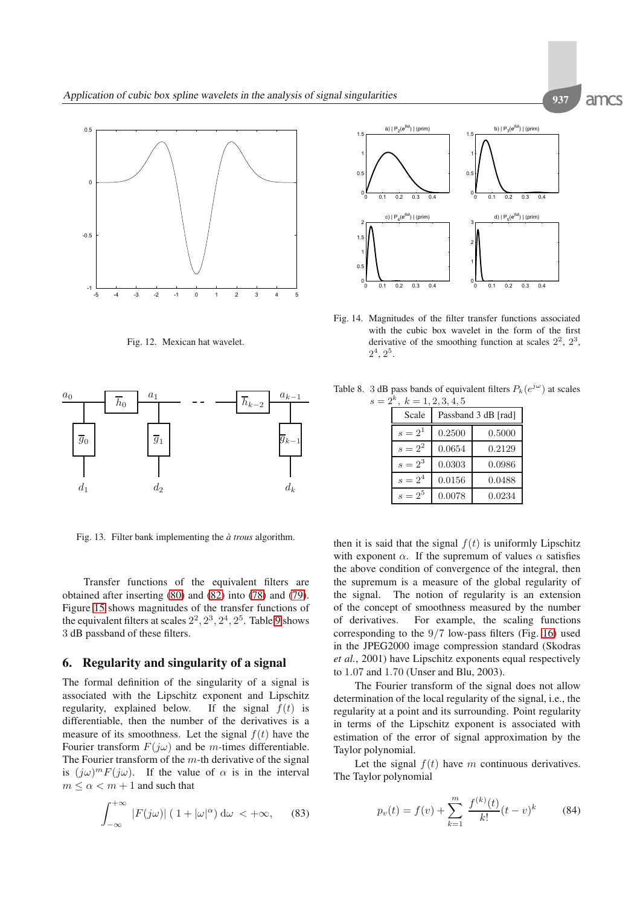

<span id="page-10-1"></span>Fig. 12. Mexican hat wavelet.



<span id="page-10-2"></span>Fig. 13. Filter bank implementing the  $\hat{a}$  trous algorithm.

Transfer functions of the equivalent filters are obtained after inserting [\(80\)](#page-9-1) and [\(82\)](#page-9-5) into [\(78\)](#page-9-3) and [\(79\)](#page-9-4). Figure [15](#page-11-0) shows magnitudes of the transfer functions of the equivalent filters at scales  $2^2$ ,  $2^3$ ,  $2^4$ ,  $2^5$ . Table [9](#page-11-1) shows 3 dB passband of these filters.

## <span id="page-10-0"></span>**6. Regularity and singularity of a signal**

The formal definition of the singularity of a signal is associated with the Lipschitz exponent and Lipschitz regularity, explained below. If the signal  $f(t)$  is differentiable, then the number of the derivatives is a measure of its smoothness. Let the signal  $f(t)$  have the Fourier transform  $F(j\omega)$  and be m-times differentiable. The Fourier transform of the  $m$ -th derivative of the signal is  $(j\omega)^m F(j\omega)$ . If the value of  $\alpha$  is in the interval  $m \le \alpha < m + 1$  and such that

$$
\int_{-\infty}^{+\infty} |F(j\omega)| (1+|\omega|^{\alpha}) d\omega < +\infty, \quad (83)
$$



<span id="page-10-3"></span>Fig. 14. Magnitudes of the filter transfer functions associated with the cubic box wavelet in the form of the first derivative of the smoothing function at scales  $2^2$ ,  $2^3$ ,  $2^4$ ,  $2^5$ .

| $2, K \equiv 1, 2, 3, 4, 3$ |           |                     |        |  |
|-----------------------------|-----------|---------------------|--------|--|
|                             | Scale     | Passband 3 dB [rad] |        |  |
|                             | $s = 2^1$ | 0.2500              | 0.5000 |  |
|                             | $s = 2^2$ | 0.0654              | 0.2129 |  |
|                             | $s = 2^3$ | 0.0303              | 0.0986 |  |
|                             | $s = 2^4$ | 0.0156              | 0.0488 |  |
|                             | $s=2^5$   | 0.0078              | 0.0234 |  |

<span id="page-10-4"></span>Table 8. 3 dB pass bands of equivalent filters  $P_k(e^{j\omega})$  at scales  $s = 2^k, k =$ 

then it is said that the signal  $f(t)$  is uniformly Lipschitz with exponent  $\alpha$ . If the supremum of values  $\alpha$  satisfies the above condition of convergence of the integral, then the supremum is a measure of the global regularity of the signal. The notion of regularity is an extension of the concept of smoothness measured by the number of derivatives. For example, the scaling functions corresponding to the  $9/7$  low-pass filters (Fig. [16\)](#page-11-2) used in the JPEG2000 image compression standard (Skodras *et al.*, 2001) have Lipschitz exponents equal respectively to 1.07 and 1.70 (Unser and Blu, 2003).

The Fourier transform of the signal does not allow determination of the local regularity of the signal, i.e., the regularity at a point and its surrounding. Point regularity in terms of the Lipschitz exponent is associated with estimation of the error of signal approximation by the Taylor polynomial.

Let the signal  $f(t)$  have m continuous derivatives. The Taylor polynomial

$$
p_v(t) = f(v) + \sum_{k=1}^{m} \frac{f^{(k)}(t)}{k!} (t - v)^k
$$
 (84)

amcs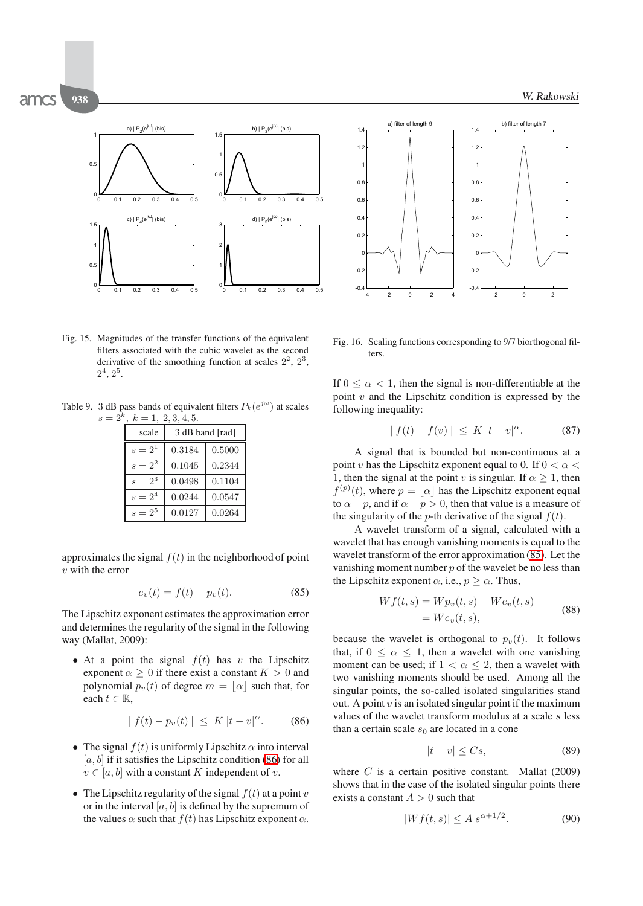

<span id="page-11-0"></span>Fig. 15. Magnitudes of the transfer functions of the equivalent filters associated with the cubic wavelet as the second derivative of the smoothing function at scales  $2^2$ ,  $2^3$ ,  $2^4$ ,  $2^5$ .

<span id="page-11-1"></span>Table 9. 3 dB pass bands of equivalent filters  $P_k(e^{j\omega})$  at scales  $s = 2^k$ ,  $k = 1, 2, 3, 4, 5$ .

| scale     | 3 dB band [rad] |        |  |  |
|-----------|-----------------|--------|--|--|
| $s = 2^1$ | 0.3184          | 0.5000 |  |  |
| $s = 2^2$ | 0.1045          | 0.2344 |  |  |
| $s = 2^3$ | 0.0498          | 0.1104 |  |  |
| $s = 2^4$ | 0.0244          | 0.0547 |  |  |
| $s=2^5$   | 0.0127          | 0.0264 |  |  |

approximates the signal  $f(t)$  in the neighborhood of point  $v$  with the error

<span id="page-11-4"></span>
$$
e_v(t) = f(t) - p_v(t).
$$
 (85)

The Lipschitz exponent estimates the approximation error and determines the regularity of the signal in the following way (Mallat, 2009):

• At a point the signal  $f(t)$  has v the Lipschitz exponent  $\alpha \geq 0$  if there exist a constant  $K > 0$  and polynomial  $p_v(t)$  of degree  $m = \lfloor \alpha \rfloor$  such that, for each  $t \in \mathbb{R}$ ,

<span id="page-11-3"></span>
$$
|f(t) - p_v(t)| \leq K |t - v|^{\alpha}.
$$
 (86)

- The signal  $f(t)$  is uniformly Lipschitz  $\alpha$  into interval  $[a, b]$  if it satisfies the Lipschitz condition [\(86\)](#page-11-3) for all  $v \in [a, b]$  with a constant K independent of v.
- The Lipschitz regularity of the signal  $f(t)$  at a point v or in the interval  $[a, b]$  is defined by the supremum of the values  $\alpha$  such that  $f(t)$  has Lipschitz exponent  $\alpha$ .



<span id="page-11-2"></span>Fig. 16. Scaling functions corresponding to 9/7 biorthogonal filters.

If  $0 \leq \alpha \leq 1$ , then the signal is non-differentiable at the point  $v$  and the Lipschitz condition is expressed by the following inequality:

$$
|f(t) - f(v)| \leq K |t - v|^{\alpha}.
$$
 (87)

A signal that is bounded but non-continuous at a point v has the Lipschitz exponent equal to 0. If  $0 < \alpha <$ 1, then the signal at the point v is singular. If  $\alpha \geq 1$ , then  $f^{(p)}(t)$ , where  $p = \lfloor \alpha \rfloor$  has the Lipschitz exponent equal to  $\alpha - p$ , and if  $\alpha - p > 0$ , then that value is a measure of the singularity of the *p*-th derivative of the signal  $f(t)$ .

A wavelet transform of a signal, calculated with a wavelet that has enough vanishing moments is equal to the wavelet transform of the error approximation [\(85\)](#page-11-4). Let the vanishing moment number  $p$  of the wavelet be no less than the Lipschitz exponent  $\alpha$ , i.e.,  $p \geq \alpha$ . Thus,

$$
Wf(t,s) = Wp_v(t,s) + We_v(t,s)
$$
  
= 
$$
We_v(t,s),
$$
 (88)

because the wavelet is orthogonal to  $p<sub>v</sub>(t)$ . It follows that, if  $0 \leq \alpha \leq 1$ , then a wavelet with one vanishing moment can be used; if  $1 < \alpha \leq 2$ , then a wavelet with two vanishing moments should be used. Among all the singular points, the so-called isolated singularities stand out. A point  $v$  is an isolated singular point if the maximum values of the wavelet transform modulus at a scale s less than a certain scale  $s_0$  are located in a cone

$$
|t - v| \le Cs,\tag{89}
$$

where  $C$  is a certain positive constant. Mallat (2009) shows that in the case of the isolated singular points there exists a constant  $A > 0$  such that

$$
|Wf(t,s)| \le A s^{\alpha + 1/2}.
$$
 (90)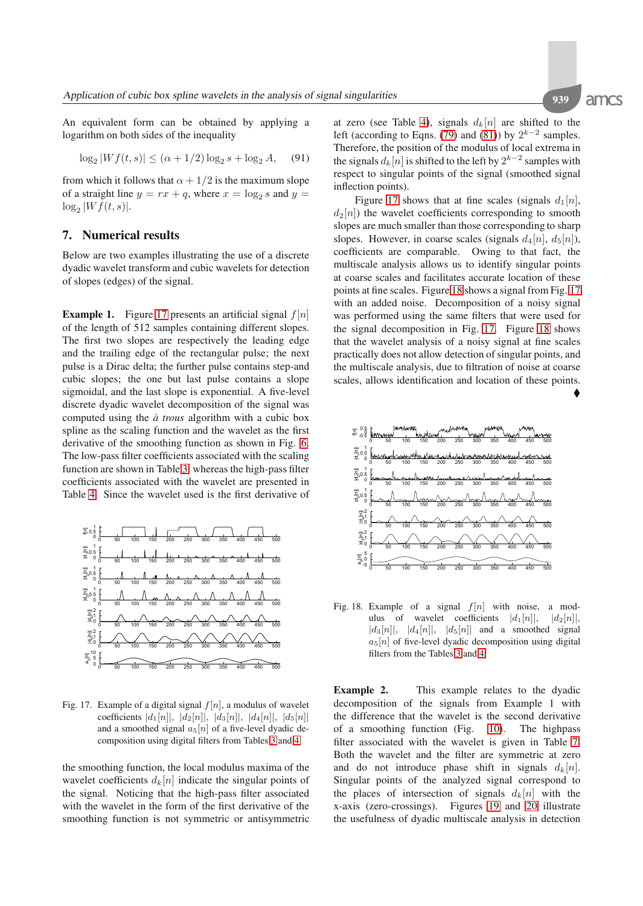amcs

<span id="page-12-1"></span>♦

An equivalent form can be obtained by applying a logarithm on both sides of the inequality

$$
\log_2|Wf(t,s)| \le (\alpha + 1/2)\log_2 s + \log_2 A,\quad (91)
$$

from which it follows that  $\alpha + 1/2$  is the maximum slope of a straight line  $y = rx + q$ , where  $x = \log_2 s$  and  $y =$  $\log_2 |Wf(t,s)|$ .

## **7. Numerical results**

Below are two examples illustrating the use of a discrete dyadic wavelet transform and cubic wavelets for detection of slopes (edges) of the signal.

**Example 1.** Figure [17](#page-12-0) presents an artificial signal  $f[n]$ of the length of 512 samples containing different slopes. The first two slopes are respectively the leading edge and the trailing edge of the rectangular pulse; the next pulse is a Dirac delta; the further pulse contains step-and cubic slopes; the one but last pulse contains a slope sigmoidal, and the last slope is exponential. A five-level discrete dyadic wavelet decomposition of the signal was computed using the  $\dot{a}$  trous algorithm with a cubic box spline as the scaling function and the wavelet as the first derivative of the smoothing function as shown in Fig. [6.](#page-7-3) The low-pass filter coefficients associated with the scaling function are shown in Table [3,](#page-6-2) whereas the high-pass filter coefficients associated with the wavelet are presented in Table [4.](#page-6-3) Since the wavelet used is the first derivative of



Fig. 17. Example of a digital signal  $f[n]$ , a modulus of wavelet coefficients  $|d_1[n]|, |d_2[n]|, |d_3[n]|, |d_4[n]|, |d_5[n]|$ and a smoothed signal  $a_5[n]$  of a five-level dyadic decomposition using digital filters from Tables [3](#page-6-2) and [4.](#page-6-3)

the smoothing function, the local modulus maxima of the wavelet coefficients  $d_k[n]$  indicate the singular points of the signal. Noticing that the high-pass filter associated with the wavelet in the form of the first derivative of the smoothing function is not symmetric or antisymmetric at zero (see Table [4\)](#page-6-3), signals  $d_k[n]$  are shifted to the left (according to Eqns. [\(79\)](#page-9-4) and [\(81\)](#page-9-2)) by  $2^{k-2}$  samples. Therefore, the position of the modulus of local extrema in the signals  $d_k[n]$  is shifted to the left by  $2^{k-2}$  samples with respect to singular points of the signal (smoothed signal inflection points).

Figure [17](#page-12-0) shows that at fine scales (signals  $d_1[n]$ ,  $d_2[n]$ ) the wavelet coefficients corresponding to smooth slopes are much smaller than those corresponding to sharp slopes. However, in coarse scales (signals  $d_4[n], d_5[n]$ ), coefficients are comparable. Owing to that fact, the multiscale analysis allows us to identify singular points at coarse scales and facilitates accurate location of these points at fine scales. Figure [18](#page-12-1) shows a signal from Fig. [17](#page-12-0) with an added noise. Decomposition of a noisy signal was performed using the same filters that were used for the signal decomposition in Fig. [17.](#page-12-0) Figure [18](#page-12-1) shows that the wavelet analysis of a noisy signal at fine scales practically does not allow detection of singular points, and the multiscale analysis, due to filtration of noise at coarse scales, allows identification and location of these points.



Fig. 18. Example of a signal  $f[n]$  with noise, a modulus of wavelet coefficients  $|d_1[n]|$ ,  $|d_2[n]|$ ,  $|d_3[n]|, |d_4[n]|, |d_5[n]|$  and a smoothed signal  $a_5[n]$  of five-level dyadic decomposition using digital filters from the Tables [3](#page-6-2) and [4.](#page-6-3)

<span id="page-12-0"></span>**Example 2.** This example relates to the dyadic decomposition of the signals from Example 1 with the difference that the wavelet is the second derivative of a smoothing function (Fig. [10\)](#page-9-0). The highpass filter associated with the wavelet is given in Table [7.](#page-7-0) Both the wavelet and the filter are symmetric at zero and do not introduce phase shift in signals  $d_k[n]$ . Singular points of the analyzed signal correspond to the places of intersection of signals  $d_k[n]$  with the x-axis (zero-crossings). Figures [19](#page-13-0) and [20](#page-13-1) illustrate the usefulness of dyadic multiscale analysis in detection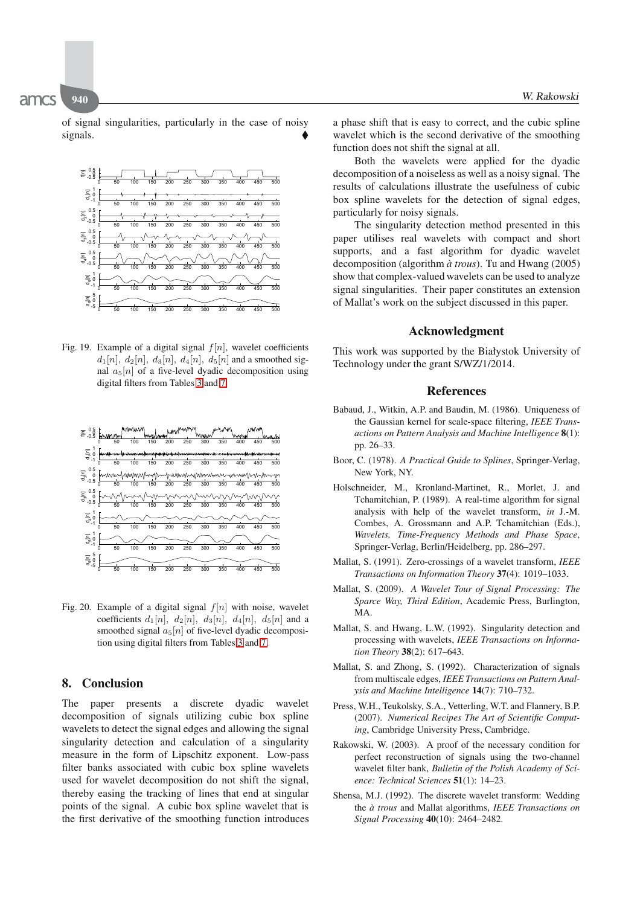of signal singularities, particularly in the case of noisy signals.  $\blacklozenge$ 



Fig. 19. Example of a digital signal  $f[n]$ , wavelet coefficients  $d_1[n], d_2[n], d_3[n], d_4[n], d_5[n]$  and a smoothed signal  $a_5[n]$  of a five-level dyadic decomposition using digital filters from Tables [3](#page-6-2) and [7.](#page-7-0)



Fig. 20. Example of a digital signal  $f[n]$  with noise, wavelet coefficients  $d_1[n]$ ,  $d_2[n]$ ,  $d_3[n]$ ,  $d_4[n]$ ,  $d_5[n]$  and a smoothed signal  $a_5[n]$  of five-level dyadic decomposition using digital filters from Tables [3](#page-6-2) and [7.](#page-7-0)

## **8. Conclusion**

The paper presents a discrete dyadic wavelet decomposition of signals utilizing cubic box spline wavelets to detect the signal edges and allowing the signal singularity detection and calculation of a singularity measure in the form of Lipschitz exponent. Low-pass filter banks associated with cubic box spline wavelets used for wavelet decomposition do not shift the signal, thereby easing the tracking of lines that end at singular points of the signal. A cubic box spline wavelet that is the first derivative of the smoothing function introduces a phase shift that is easy to correct, and the cubic spline wavelet which is the second derivative of the smoothing function does not shift the signal at all.

Both the wavelets were applied for the dyadic decomposition of a noiseless as well as a noisy signal. The results of calculations illustrate the usefulness of cubic box spline wavelets for the detection of signal edges, particularly for noisy signals.

The singularity detection method presented in this paper utilises real wavelets with compact and short supports, and a fast algorithm for dyadic wavelet decomposition (algorithm *a trous `* ). Tu and Hwang (2005) show that complex-valued wavelets can be used to analyze signal singularities. Their paper constitutes an extension of Mallat's work on the subject discussed in this paper.

#### **Acknowledgment**

<span id="page-13-0"></span>This work was supported by the Białystok University of Technology under the grant S/WZ/1/2014.

#### **References**

- Babaud, J., Witkin, A.P. and Baudin, M. (1986). Uniqueness of the Gaussian kernel for scale-space filtering, *IEEE Transactions on Pattern Analysis and Machine Intelligence* **8**(1): pp. 26–33.
- Boor, C. (1978). *A Practical Guide to Splines*, Springer-Verlag, New York, NY.
- Holschneider, M., Kronland-Martinet, R., Morlet, J. and Tchamitchian, P. (1989). A real-time algorithm for signal analysis with help of the wavelet transform, *in* J.-M. Combes, A. Grossmann and A.P. Tchamitchian (Eds.), *Wavelets, Time-Frequency Methods and Phase Space*, Springer-Verlag, Berlin/Heidelberg, pp. 286–297.
- Mallat, S. (1991). Zero-crossings of a wavelet transform, *IEEE Transactions on Information Theory* **37**(4): 1019–1033.
- <span id="page-13-1"></span>Mallat, S. (2009). *A Wavelet Tour of Signal Processing: The Sparce Way, Third Edition*, Academic Press, Burlington, MA.
- Mallat, S. and Hwang, L.W. (1992). Singularity detection and processing with wavelets, *IEEE Transactions on Information Theory* **38**(2): 617–643.
- Mallat, S. and Zhong, S. (1992). Characterization of signals from multiscale edges, *IEEE Transactions on Pattern Analysis and Machine Intelligence* **14**(7): 710–732.
- Press, W.H., Teukolsky, S.A., Vetterling, W.T. and Flannery, B.P. (2007). *Numerical Recipes The Art of Scientific Computing*, Cambridge University Press, Cambridge.
- Rakowski, W. (2003). A proof of the necessary condition for perfect reconstruction of signals using the two-channel wavelet filter bank, *Bulletin of the Polish Academy of Science: Technical Sciences* **51**(1): 14–23.
- Shensa, M.J. (1992). The discrete wavelet transform: Wedding the *a trous `* and Mallat algorithms, *IEEE Transactions on Signal Processing* **40**(10): 2464–2482.